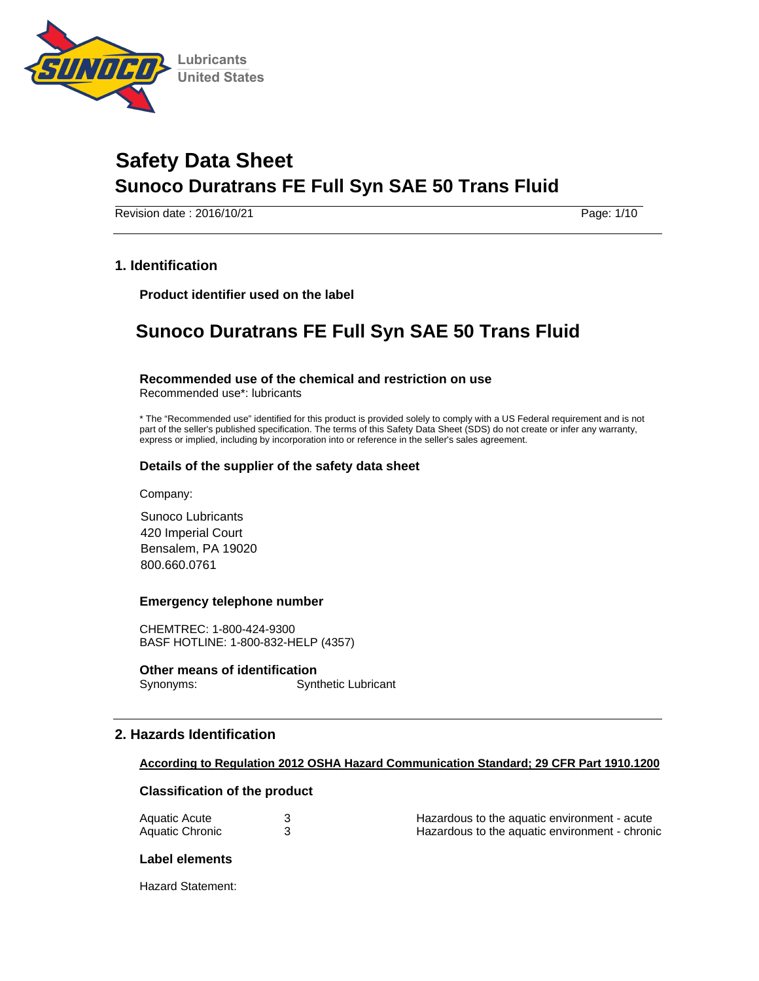

Revision date : 2016/10/21 Page: 1/10

## **1. Identification**

**Product identifier used on the label** 

## **Sunoco Duratrans FE Full Syn SAE 50 Trans Fluid**

#### **Recommended use of the chemical and restriction on use**

Recommended use\*: lubricants

\* The "Recommended use" identified for this product is provided solely to comply with a US Federal requirement and is not part of the seller's published specification. The terms of this Safety Data Sheet (SDS) do not create or infer any warranty, express or implied, including by incorporation into or reference in the seller's sales agreement.

#### **Details of the supplier of the safety data sheet**

Company:

Sunoco Lubricants 420 Imperial Court Bensalem, PA 19020 800.660.0761

#### **Emergency telephone number**

CHEMTREC: 1-800-424-9300 BASF HOTLINE: 1-800-832-HELP (4357)

**Other means of identification**  Synonyms: Synthetic Lubricant

## **2. Hazards Identification**

#### **According to Regulation 2012 OSHA Hazard Communication Standard; 29 CFR Part 1910.1200**

#### **Classification of the product**

| Aquatic Acute   | Hazardous to the aquatic environment - acute   |
|-----------------|------------------------------------------------|
| Aquatic Chronic | Hazardous to the aquatic environment - chronic |

#### **Label elements**

Hazard Statement: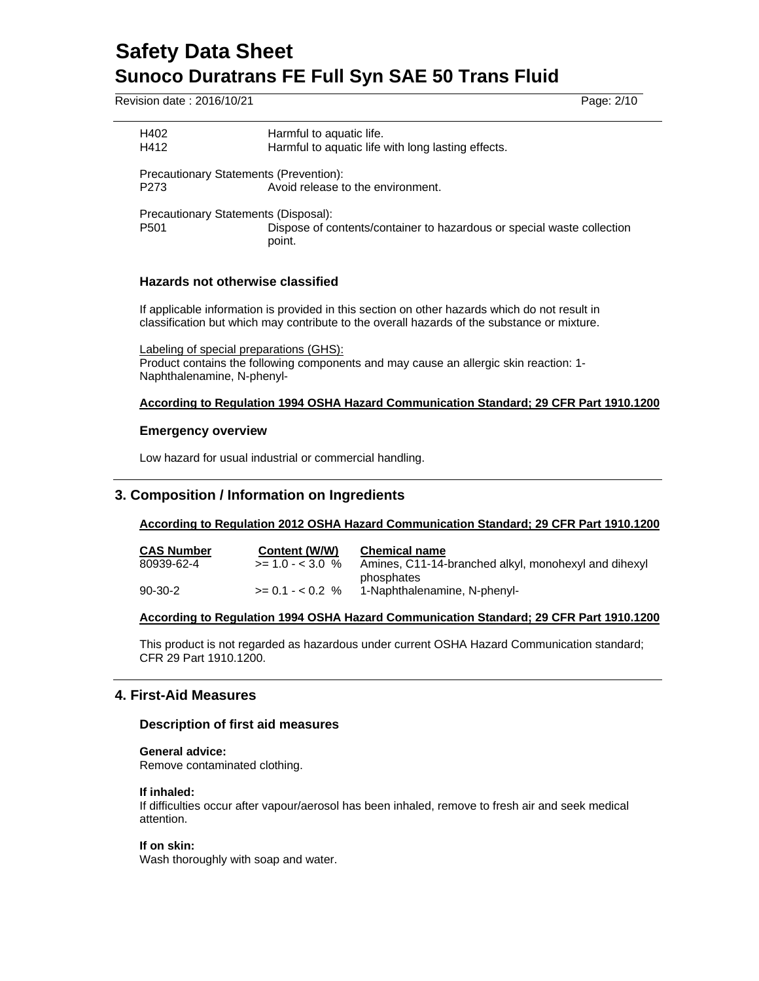Revision date : 2016/10/21 Page: 2/10

| H402<br>H412                                  | Harmful to aquatic life.<br>Harmful to aquatic life with long lasting effects.   |
|-----------------------------------------------|----------------------------------------------------------------------------------|
| <b>Precautionary Statements (Prevention):</b> |                                                                                  |
| P273                                          | Avoid release to the environment.                                                |
| Precautionary Statements (Disposal):          |                                                                                  |
| P501                                          | Dispose of contents/container to hazardous or special waste collection<br>point. |
|                                               |                                                                                  |

## **Hazards not otherwise classified**

If applicable information is provided in this section on other hazards which do not result in classification but which may contribute to the overall hazards of the substance or mixture.

Labeling of special preparations (GHS): Product contains the following components and may cause an allergic skin reaction: 1- Naphthalenamine, N-phenyl-

## **According to Regulation 1994 OSHA Hazard Communication Standard; 29 CFR Part 1910.1200**

#### **Emergency overview**

Low hazard for usual industrial or commercial handling.

## **3. Composition / Information on Ingredients**

## **According to Regulation 2012 OSHA Hazard Communication Standard; 29 CFR Part 1910.1200**

| <b>CAS Number</b> | Content (W/W)      | <b>Chemical name</b>                                 |
|-------------------|--------------------|------------------------------------------------------|
| 80939-62-4        | $>= 1.0 - < 3.0$ % | Amines, C11-14-branched alkyl, monohexyl and dihexyl |
|                   |                    | phosphates                                           |
| $90-30-2$         | $>= 0.1 - 0.2$ %   | 1-Naphthalenamine. N-phenyl-                         |

#### **According to Regulation 1994 OSHA Hazard Communication Standard; 29 CFR Part 1910.1200**

This product is not regarded as hazardous under current OSHA Hazard Communication standard; CFR 29 Part 1910.1200.

## **4. First-Aid Measures**

## **Description of first aid measures**

#### **General advice:**

Remove contaminated clothing.

#### **If inhaled:**

If difficulties occur after vapour/aerosol has been inhaled, remove to fresh air and seek medical attention.

#### **If on skin:**

Wash thoroughly with soap and water.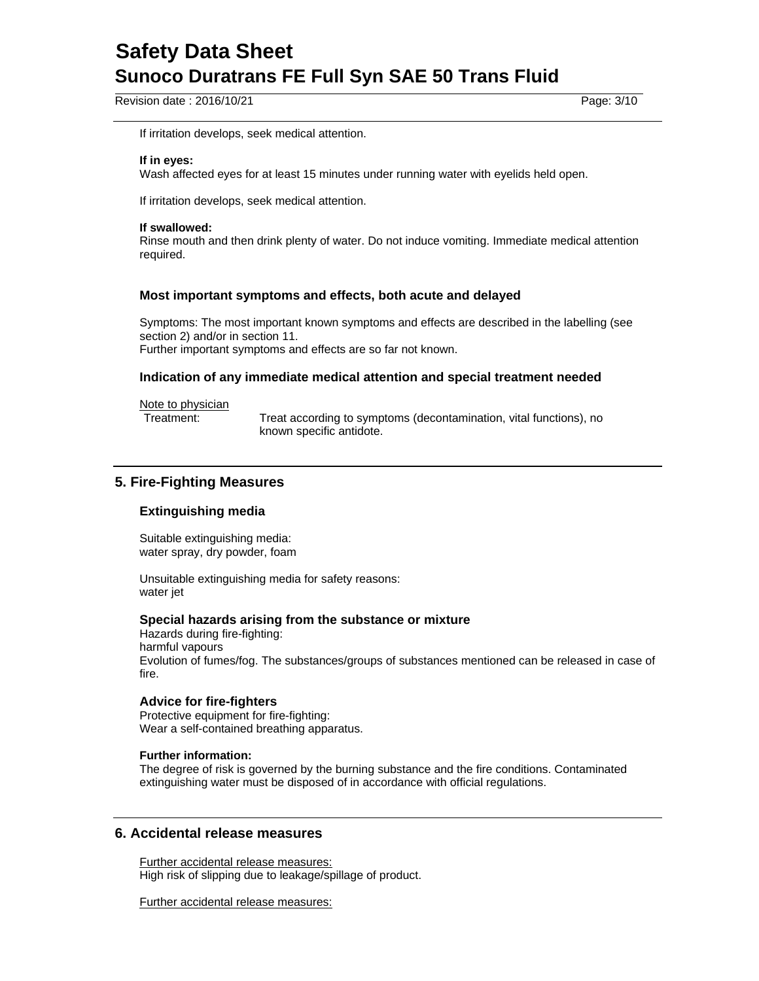Revision date : 2016/10/21 Page: 3/10

If irritation develops, seek medical attention.

#### **If in eyes:**

Wash affected eyes for at least 15 minutes under running water with eyelids held open.

If irritation develops, seek medical attention.

#### **If swallowed:**

Rinse mouth and then drink plenty of water. Do not induce vomiting. Immediate medical attention required.

#### **Most important symptoms and effects, both acute and delayed**

Symptoms: The most important known symptoms and effects are described in the labelling (see section 2) and/or in section 11.

Further important symptoms and effects are so far not known.

#### **Indication of any immediate medical attention and special treatment needed**

Note to physician

Treatment: Treat according to symptoms (decontamination, vital functions), no known specific antidote.

## **5. Fire-Fighting Measures**

## **Extinguishing media**

Suitable extinguishing media: water spray, dry powder, foam

Unsuitable extinguishing media for safety reasons: water jet

#### **Special hazards arising from the substance or mixture**

Hazards during fire-fighting: harmful vapours Evolution of fumes/fog. The substances/groups of substances mentioned can be released in case of fire.

#### **Advice for fire-fighters**

Protective equipment for fire-fighting: Wear a self-contained breathing apparatus.

#### **Further information:**

The degree of risk is governed by the burning substance and the fire conditions. Contaminated extinguishing water must be disposed of in accordance with official regulations.

## **6. Accidental release measures**

Further accidental release measures: High risk of slipping due to leakage/spillage of product.

Further accidental release measures: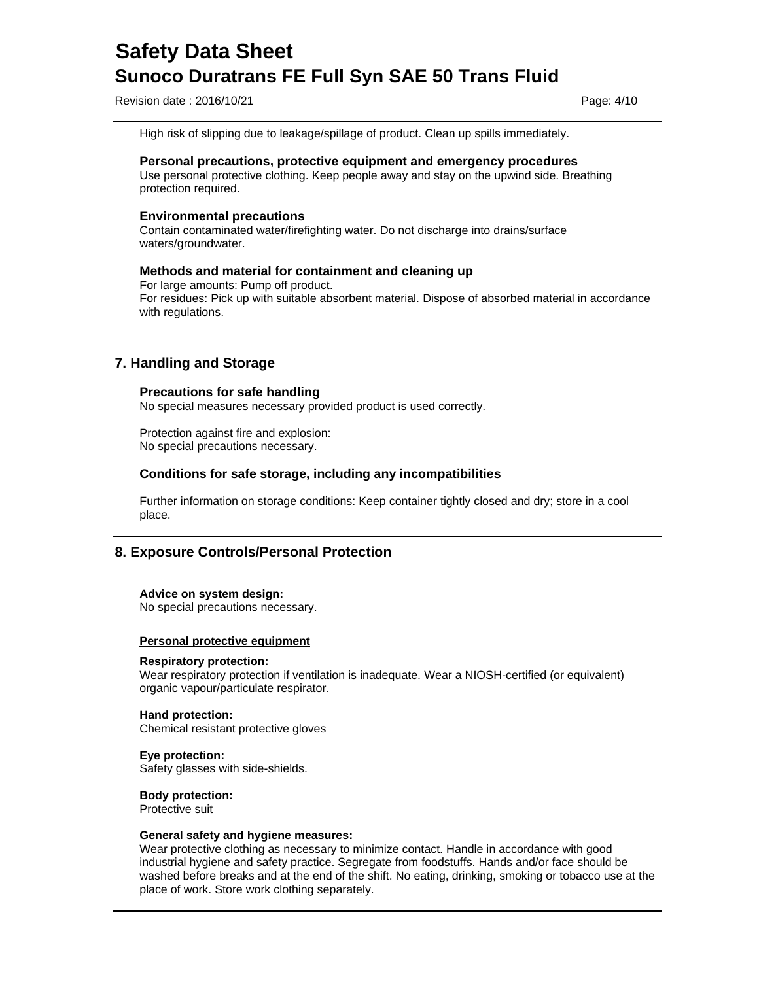Revision date : 2016/10/21 Page: 4/10

High risk of slipping due to leakage/spillage of product. Clean up spills immediately.

#### **Personal precautions, protective equipment and emergency procedures**

Use personal protective clothing. Keep people away and stay on the upwind side. Breathing protection required.

#### **Environmental precautions**

Contain contaminated water/firefighting water. Do not discharge into drains/surface waters/groundwater.

#### **Methods and material for containment and cleaning up**

For large amounts: Pump off product. For residues: Pick up with suitable absorbent material. Dispose of absorbed material in accordance with regulations.

## **7. Handling and Storage**

#### **Precautions for safe handling**

No special measures necessary provided product is used correctly.

Protection against fire and explosion: No special precautions necessary.

## **Conditions for safe storage, including any incompatibilities**

Further information on storage conditions: Keep container tightly closed and dry; store in a cool place.

## **8. Exposure Controls/Personal Protection**

#### **Advice on system design:**

No special precautions necessary.

#### **Personal protective equipment**

#### **Respiratory protection:**

Wear respiratory protection if ventilation is inadequate. Wear a NIOSH-certified (or equivalent) organic vapour/particulate respirator.

**Hand protection:** Chemical resistant protective gloves

**Eye protection:**  Safety glasses with side-shields.

**Body protection:**  Protective suit

#### **General safety and hygiene measures:**

Wear protective clothing as necessary to minimize contact. Handle in accordance with good industrial hygiene and safety practice. Segregate from foodstuffs. Hands and/or face should be washed before breaks and at the end of the shift. No eating, drinking, smoking or tobacco use at the place of work. Store work clothing separately.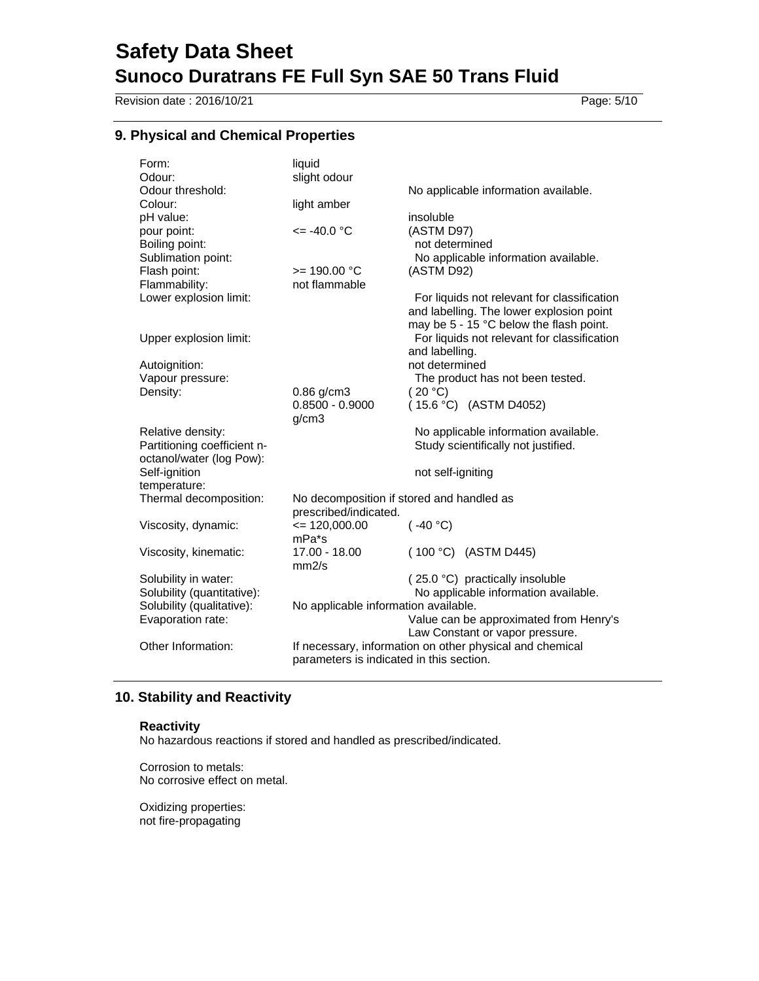Revision date : 2016/10/21 Page: 5/10

## **9. Physical and Chemical Properties**

| Form:                       | liquid                                    |                                                          |
|-----------------------------|-------------------------------------------|----------------------------------------------------------|
| Odour:                      | slight odour                              |                                                          |
| Odour threshold:            |                                           | No applicable information available.                     |
| Colour:                     | light amber                               |                                                          |
| pH value:                   |                                           | insoluble                                                |
| pour point:                 | $= -40.0$ °C                              | (ASTM D97)                                               |
| Boiling point:              |                                           | not determined                                           |
| Sublimation point:          |                                           | No applicable information available.                     |
| Flash point:                | $>= 190.00 °C$                            | (ASTM D92)                                               |
| Flammability:               | not flammable                             |                                                          |
| Lower explosion limit:      |                                           | For liquids not relevant for classification              |
|                             |                                           | and labelling. The lower explosion point                 |
|                             |                                           | may be 5 - 15 °C below the flash point.                  |
| Upper explosion limit:      |                                           | For liquids not relevant for classification              |
|                             |                                           | and labelling.                                           |
| Autoignition:               |                                           | not determined                                           |
| Vapour pressure:            |                                           | The product has not been tested.                         |
| Density:                    | $0.86$ g/cm3                              | (20 °C)                                                  |
|                             | $0.8500 - 0.9000$                         | $(15.6 °C)$ (ASTM D4052)                                 |
|                             | g/cm3                                     |                                                          |
| Relative density:           |                                           | No applicable information available.                     |
| Partitioning coefficient n- |                                           | Study scientifically not justified.                      |
| octanol/water (log Pow):    |                                           |                                                          |
| Self-ignition               |                                           | not self-igniting                                        |
| temperature:                |                                           |                                                          |
| Thermal decomposition:      | No decomposition if stored and handled as |                                                          |
|                             | prescribed/indicated.                     |                                                          |
| Viscosity, dynamic:         | $= 120,000.00$                            | (.40 °C)                                                 |
|                             | mPa*s                                     |                                                          |
| Viscosity, kinematic:       | 17.00 - 18.00                             | (100 °C) (ASTM D445)                                     |
|                             | mm2/s                                     |                                                          |
| Solubility in water:        |                                           | (25.0 °C) practically insoluble                          |
| Solubility (quantitative):  |                                           | No applicable information available.                     |
| Solubility (qualitative):   | No applicable information available.      |                                                          |
| Evaporation rate:           |                                           | Value can be approximated from Henry's                   |
|                             |                                           | Law Constant or vapor pressure.                          |
| Other Information:          |                                           | If necessary, information on other physical and chemical |
|                             | parameters is indicated in this section.  |                                                          |
|                             |                                           |                                                          |

## **10. Stability and Reactivity**

#### **Reactivity**

No hazardous reactions if stored and handled as prescribed/indicated.

Corrosion to metals: No corrosive effect on metal.

Oxidizing properties: not fire-propagating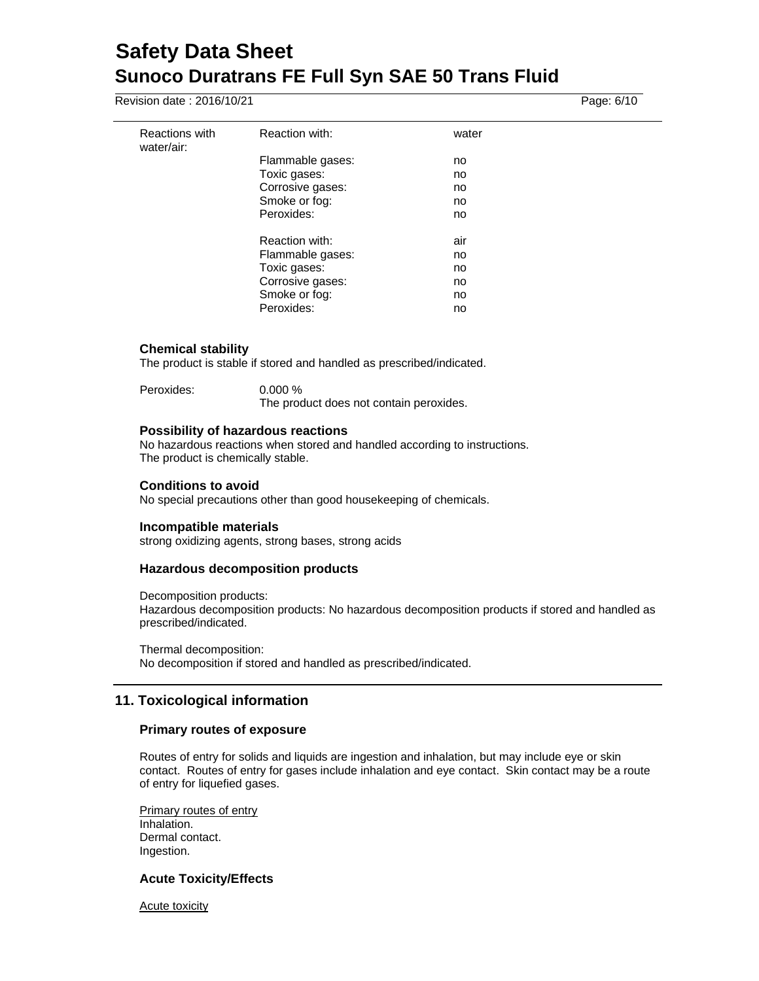Revision date : 2016/10/21 Page: 6/10

| Reactions with<br>water/air: | Reaction with:   | water |
|------------------------------|------------------|-------|
|                              | Flammable gases: | no    |
|                              | Toxic gases:     | no    |
|                              | Corrosive gases: | no    |
|                              | Smoke or fog:    | no    |
|                              | Peroxides:       | no    |
|                              |                  |       |
|                              | Reaction with:   | air   |
|                              | Flammable gases: | no    |
|                              | Toxic gases:     | no    |
|                              | Corrosive gases: | no    |
|                              | Smoke or fog:    | no    |
|                              | Peroxides:       | no    |
|                              |                  |       |

#### **Chemical stability**

The product is stable if stored and handled as prescribed/indicated.

| Peroxides: | $0.000\%$                               |
|------------|-----------------------------------------|
|            | The product does not contain peroxides. |

#### **Possibility of hazardous reactions**

No hazardous reactions when stored and handled according to instructions. The product is chemically stable.

#### **Conditions to avoid**

No special precautions other than good housekeeping of chemicals.

#### **Incompatible materials**

strong oxidizing agents, strong bases, strong acids

#### **Hazardous decomposition products**

Decomposition products:

Hazardous decomposition products: No hazardous decomposition products if stored and handled as prescribed/indicated.

Thermal decomposition: No decomposition if stored and handled as prescribed/indicated.

## **11. Toxicological information**

#### **Primary routes of exposure**

Routes of entry for solids and liquids are ingestion and inhalation, but may include eye or skin contact. Routes of entry for gases include inhalation and eye contact. Skin contact may be a route of entry for liquefied gases.

Primary routes of entry Inhalation. Dermal contact. Ingestion.

## **Acute Toxicity/Effects**

Acute toxicity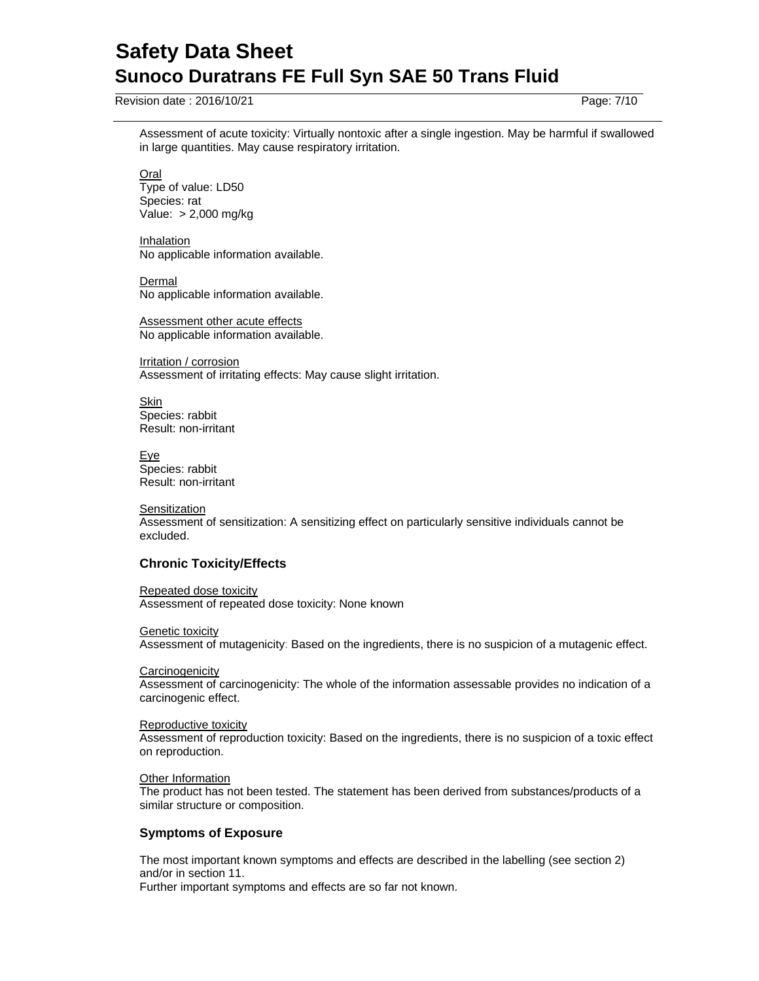Revision date : 2016/10/21 Page: 7/10

Assessment of acute toxicity: Virtually nontoxic after a single ingestion. May be harmful if swallowed in large quantities. May cause respiratory irritation.

**Oral** Type of value: LD50 Species: rat Value: > 2,000 mg/kg

Inhalation No applicable information available.

Dermal No applicable information available.

Assessment other acute effects No applicable information available.

Irritation / corrosion Assessment of irritating effects: May cause slight irritation.

Skin Species: rabbit Result: non-irritant

Eye Species: rabbit Result: non-irritant

**Sensitization** Assessment of sensitization: A sensitizing effect on particularly sensitive individuals cannot be excluded.

## **Chronic Toxicity/Effects**

Repeated dose toxicity Assessment of repeated dose toxicity: None known

Genetic toxicity Assessment of mutagenicity: Based on the ingredients, there is no suspicion of a mutagenic effect.

**Carcinogenicity** Assessment of carcinogenicity: The whole of the information assessable provides no indication of a carcinogenic effect.

Reproductive toxicity Assessment of reproduction toxicity: Based on the ingredients, there is no suspicion of a toxic effect on reproduction.

**Other Information** The product has not been tested. The statement has been derived from substances/products of a similar structure or composition.

## **Symptoms of Exposure**

The most important known symptoms and effects are described in the labelling (see section 2) and/or in section 11. Further important symptoms and effects are so far not known.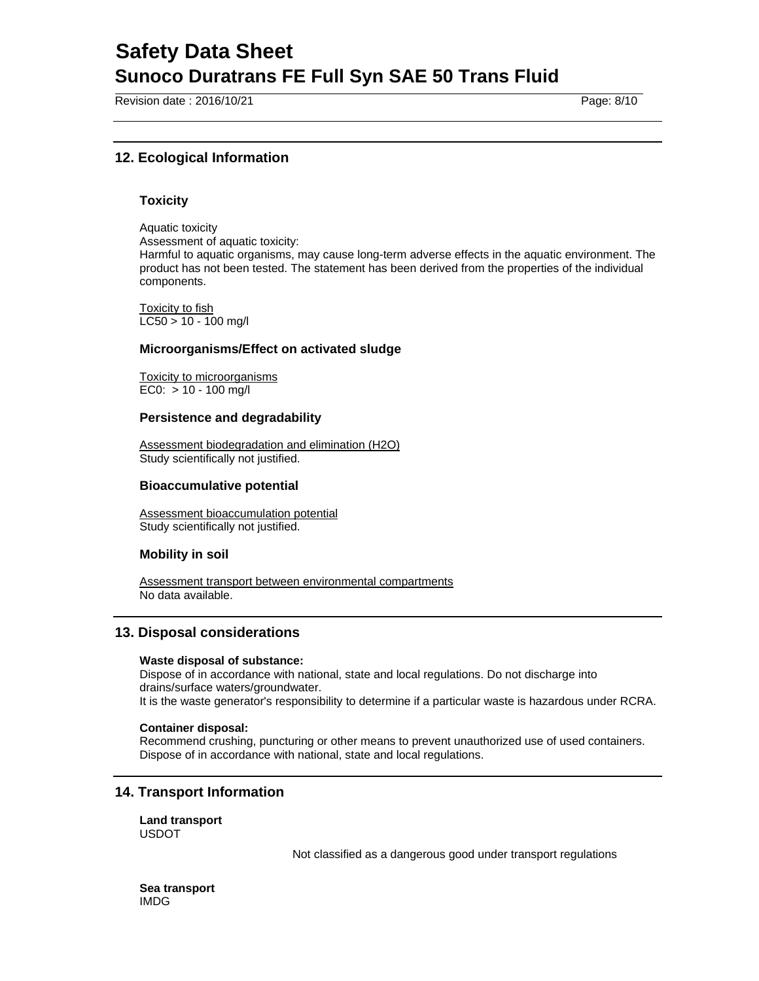Revision date : 2016/10/21 Page: 8/10

## **12. Ecological Information**

#### **Toxicity**

Aquatic toxicity

Assessment of aquatic toxicity:

Harmful to aquatic organisms, may cause long-term adverse effects in the aquatic environment. The product has not been tested. The statement has been derived from the properties of the individual components.

Toxicity to fish  $LC50 > 10 - 100$  mg/l

#### **Microorganisms/Effect on activated sludge**

Toxicity to microorganisms EC0:  $> 10 - 100$  mg/l

#### **Persistence and degradability**

Assessment biodegradation and elimination (H2O) Study scientifically not justified.

#### **Bioaccumulative potential**

Assessment bioaccumulation potential Study scientifically not justified.

#### **Mobility in soil**

Assessment transport between environmental compartments No data available.

## **13. Disposal considerations**

#### **Waste disposal of substance:**

Dispose of in accordance with national, state and local regulations. Do not discharge into drains/surface waters/groundwater.

It is the waste generator's responsibility to determine if a particular waste is hazardous under RCRA.

#### **Container disposal:**

Recommend crushing, puncturing or other means to prevent unauthorized use of used containers. Dispose of in accordance with national, state and local regulations.

## **14. Transport Information**

**Land transport**  USDOT

Not classified as a dangerous good under transport regulations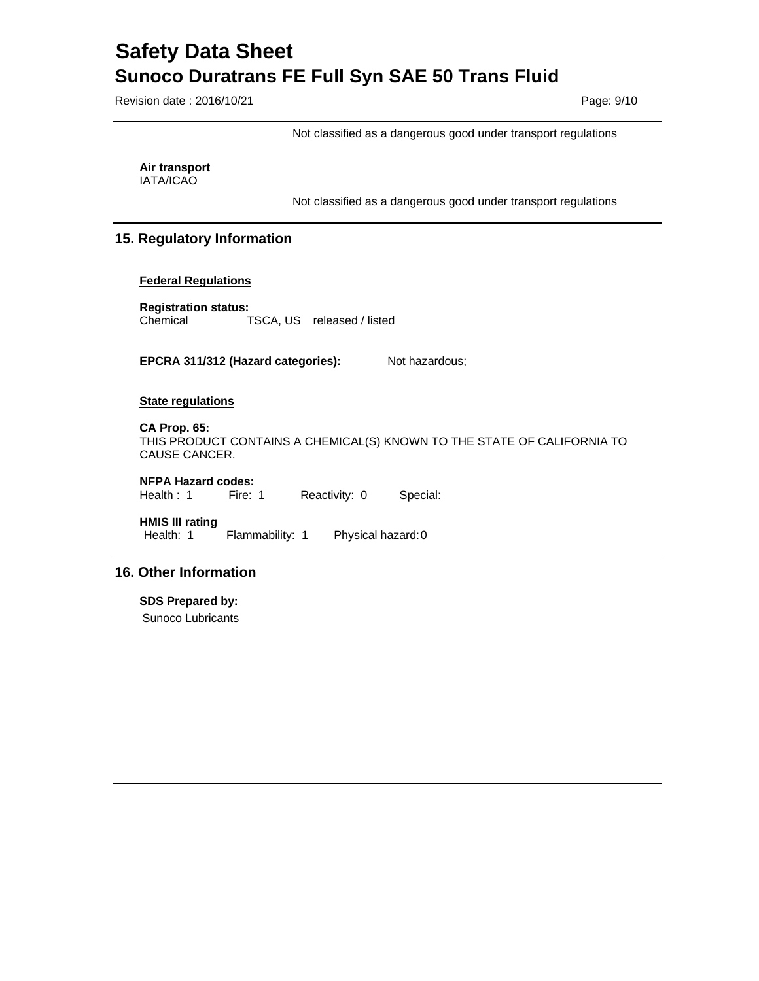Revision date : 2016/10/21 Page: 9/10

Not classified as a dangerous good under transport regulations

**Air transport**  IATA/ICAO

Not classified as a dangerous good under transport regulations

## **15. Regulatory Information**

#### **Federal Regulations**

**Registration status:**  Chemical TSCA, US released / listed

EPCRA 311/312 (Hazard categories): Not hazardous;

#### **State regulations**

**CA Prop. 65:**  THIS PRODUCT CONTAINS A CHEMICAL(S) KNOWN TO THE STATE OF CALIFORNIA TO CAUSE CANCER.

## **NFPA Hazard codes:**

Health : 1 Fire: 1 Reactivity: 0 Special:

**HMIS III rating**

Health: 1 Flammability: 1 Physical hazard: 0

## **16. Other Information**

**SDS Prepared by:** 

Sunoco Lubricants